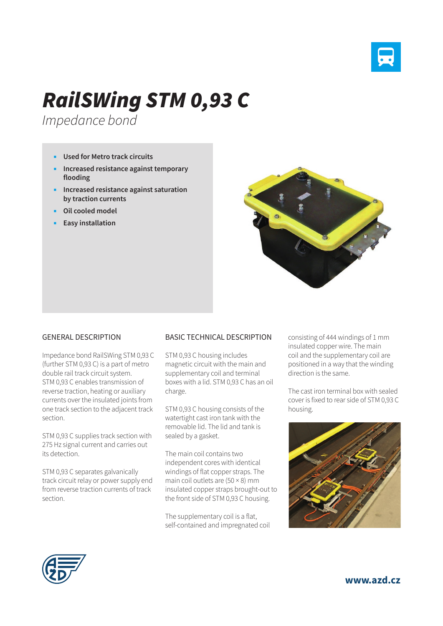

## *RailSWing STM 0,93 C*

*Impedance bond*

- **Used for Metro track circuits**
- **Increased resistance against temporary flooding**
- **Increased resistance against saturation by traction currents**
- **Oil cooled model**
- **Easy installation**



## GENERAL DESCRIPTION

Impedance bond RailSWing STM 0,93 C (further STM 0,93 C) is a part of metro double rail track circuit system. STM 0,93 C enables transmission of reverse traction, heating or auxiliary currents over the insulated joints from one track section to the adjacent track section.

STM 0,93 C supplies track section with 275 Hz signal current and carries out its detection.

STM 0,93 C separates galvanically track circuit relay or power supply end from reverse traction currents of track section.

## BASIC TECHNICAL DESCRIPTION

STM 0,93 C housing includes magnetic circuit with the main and supplementary coil and terminal boxes with a lid. STM 0,93 C has an oil charge.

STM 0,93 C housing consists of the watertight cast iron tank with the removable lid. The lid and tank is sealed by a gasket.

The main coil contains two independent cores with identical windings of flat copper straps. The main coil outlets are  $(50 \times 8)$  mm insulated copper straps brought-out to the front side of STM 0,93 C housing.

The supplementary coil is a flat, self-contained and impregnated coil consisting of 444 windings of 1 mm insulated copper wire. The main coil and the supplementary coil are positioned in a way that the winding direction is the same.

The cast iron terminal box with sealed cover is fixed to rear side of STM 0,93 C housing.





**www.azd.cz**